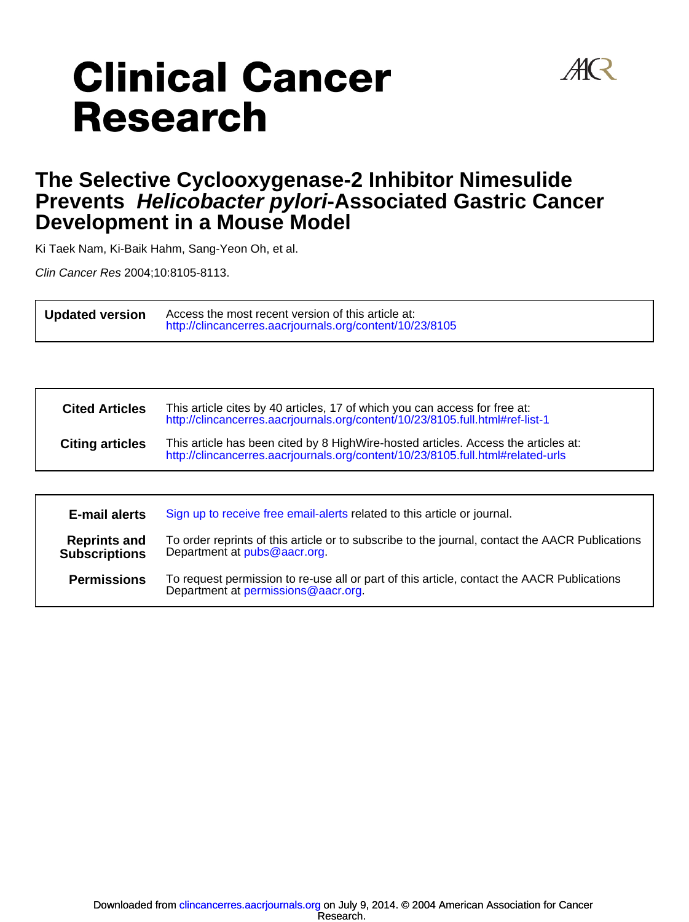

# **Clinical Cancer Research**

# **Development in a Mouse Model Prevents Helicobacter pylori-Associated Gastric Cancer The Selective Cyclooxygenase-2 Inhibitor Nimesulide**

Ki Taek Nam, Ki-Baik Hahm, Sang-Yeon Oh, et al.

Clin Cancer Res 2004;10:8105-8113.

.

.

**Updated version**  $\overline{a}$ <http://clincancerres.aacrjournals.org/content/10/23/8105> Access the most recent version of this article at:

| <b>Cited Articles</b>  | This article cites by 40 articles, 17 of which you can access for free at:<br>http://clincancerres.aacrjournals.org/content/10/23/8105.full.html#ref-list-1           |
|------------------------|-----------------------------------------------------------------------------------------------------------------------------------------------------------------------|
| <b>Citing articles</b> | This article has been cited by 8 HighWire-hosted articles. Access the articles at:<br>http://clincancerres.aacrjournals.org/content/10/23/8105.full.html#related-urls |
|                        |                                                                                                                                                                       |

| E-mail alerts                               | Sign up to receive free email-alerts related to this article or journal.                                                          |  |  |
|---------------------------------------------|-----------------------------------------------------------------------------------------------------------------------------------|--|--|
| <b>Reprints and</b><br><b>Subscriptions</b> | To order reprints of this article or to subscribe to the journal, contact the AACR Publications<br>Department at pubs@aacr.org.   |  |  |
| <b>Permissions</b>                          | To request permission to re-use all or part of this article, contact the AACR Publications<br>Department at permissions@aacr.org. |  |  |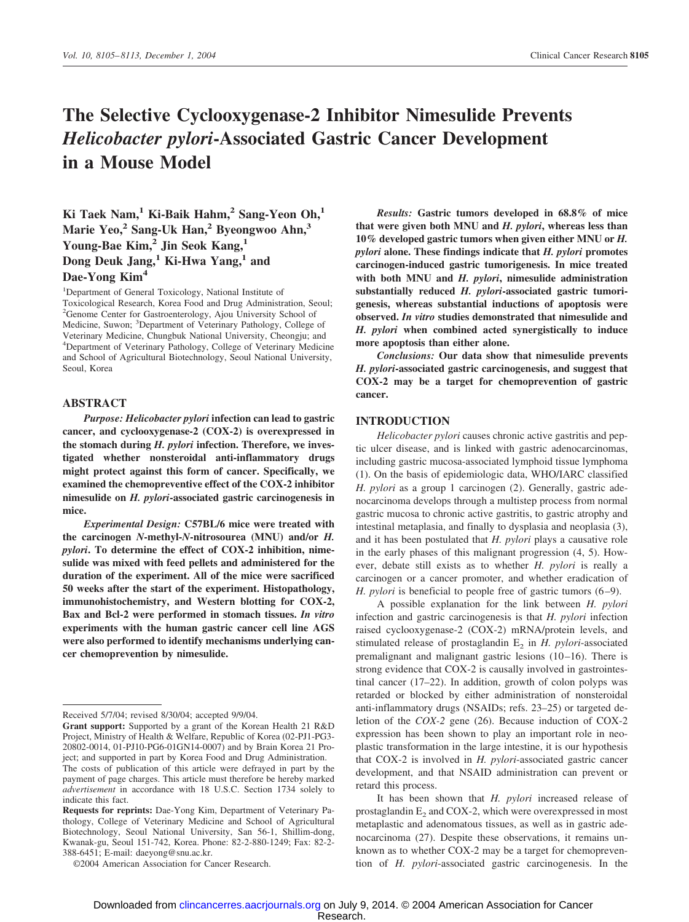## **The Selective Cyclooxygenase-2 Inhibitor Nimesulide Prevents** *Helicobacter pylori***-Associated Gastric Cancer Development in a Mouse Model**

**Ki Taek Nam,1 Ki-Baik Hahm,2 Sang-Yeon Oh,1 Marie Yeo,2 Sang-Uk Han,2 Byeongwoo Ahn,3 Young-Bae Kim,2 Jin Seok Kang,1 Dong Deuk Jang,1 Ki-Hwa Yang,1 and Dae-Yong Kim4**

<sup>1</sup>Department of General Toxicology, National Institute of Toxicological Research, Korea Food and Drug Administration, Seoul; 2 Genome Center for Gastroenterology, Ajou University School of Medicine, Suwon; <sup>3</sup>Department of Veterinary Pathology, College of Veterinary Medicine, Chungbuk National University, Cheongju; and 4 Department of Veterinary Pathology, College of Veterinary Medicine and School of Agricultural Biotechnology, Seoul National University, Seoul, Korea

### **ABSTRACT**

*Purpose: Helicobacter pylori* **infection can lead to gastric cancer, and cyclooxygenase-2 (COX-2) is overexpressed in the stomach during** *H. pylori* **infection. Therefore, we investigated whether nonsteroidal anti-inflammatory drugs might protect against this form of cancer. Specifically, we examined the chemopreventive effect of the COX-2 inhibitor nimesulide on** *H. pylori***-associated gastric carcinogenesis in mice.**

*Experimental Design:* **C57BL/6 mice were treated with the carcinogen** *N***-methyl-***N***-nitrosourea (MNU) and/or** *H. pylori***. To determine the effect of COX-2 inhibition, nimesulide was mixed with feed pellets and administered for the duration of the experiment. All of the mice were sacrificed 50 weeks after the start of the experiment. Histopathology, immunohistochemistry, and Western blotting for COX-2, Bax and Bcl-2 were performed in stomach tissues.** *In vitro* **experiments with the human gastric cancer cell line AGS were also performed to identify mechanisms underlying cancer chemoprevention by nimesulide.**

*Results:* **Gastric tumors developed in 68.8% of mice that were given both MNU and** *H. pylori***, whereas less than 10% developed gastric tumors when given either MNU or** *H. pylori* **alone. These findings indicate that** *H. pylori* **promotes carcinogen-induced gastric tumorigenesis. In mice treated with both MNU and** *H. pylori***, nimesulide administration substantially reduced** *H. pylori***-associated gastric tumorigenesis, whereas substantial inductions of apoptosis were observed.** *In vitro* **studies demonstrated that nimesulide and** *H. pylori* **when combined acted synergistically to induce more apoptosis than either alone.**

*Conclusions:* **Our data show that nimesulide prevents** *H. pylori***-associated gastric carcinogenesis, and suggest that COX-2 may be a target for chemoprevention of gastric cancer.**

#### **INTRODUCTION**

*Helicobacter pylori* causes chronic active gastritis and peptic ulcer disease, and is linked with gastric adenocarcinomas, including gastric mucosa-associated lymphoid tissue lymphoma (1). On the basis of epidemiologic data, WHO/IARC classified *H. pylori* as a group 1 carcinogen (2). Generally, gastric adenocarcinoma develops through a multistep process from normal gastric mucosa to chronic active gastritis, to gastric atrophy and intestinal metaplasia, and finally to dysplasia and neoplasia (3), and it has been postulated that *H. pylori* plays a causative role in the early phases of this malignant progression (4, 5). However, debate still exists as to whether *H. pylori* is really a carcinogen or a cancer promoter, and whether eradication of *H. pylori* is beneficial to people free of gastric tumors  $(6-9)$ .

A possible explanation for the link between *H. pylori* infection and gastric carcinogenesis is that *H. pylori* infection raised cyclooxygenase-2 (COX-2) mRNA/protein levels, and stimulated release of prostaglandin  $E<sub>2</sub>$  in *H. pylori*-associated premalignant and malignant gastric lesions (10-16). There is strong evidence that COX-2 is causally involved in gastrointestinal cancer (17–22). In addition, growth of colon polyps was retarded or blocked by either administration of nonsteroidal anti-inflammatory drugs (NSAIDs; refs. 23–25) or targeted deletion of the *COX-2* gene (26). Because induction of COX-2 expression has been shown to play an important role in neoplastic transformation in the large intestine, it is our hypothesis that COX-2 is involved in *H. pylori*-associated gastric cancer development, and that NSAID administration can prevent or retard this process.

It has been shown that *H. pylori* increased release of prostaglandin  $E<sub>2</sub>$  and COX-2, which were overexpressed in most metaplastic and adenomatous tissues, as well as in gastric adenocarcinoma (27). Despite these observations, it remains unknown as to whether COX-2 may be a target for chemoprevention of *H. pylori*-associated gastric carcinogenesis. In the

Received 5/7/04; revised 8/30/04; accepted 9/9/04.

**Grant support:** Supported by a grant of the Korean Health 21 R&D Project, Ministry of Health & Welfare, Republic of Korea (02-PJ1-PG3- 20802-0014, 01-PJ10-PG6-01GN14-0007) and by Brain Korea 21 Project; and supported in part by Korea Food and Drug Administration. The costs of publication of this article were defrayed in part by the payment of page charges. This article must therefore be hereby marked *advertisement* in accordance with 18 U.S.C. Section 1734 solely to indicate this fact.

**Requests for reprints:** Dae-Yong Kim, Department of Veterinary Pathology, College of Veterinary Medicine and School of Agricultural Biotechnology, Seoul National University, San 56-1, Shillim-dong, Kwanak-gu, Seoul 151-742, Korea. Phone: 82-2-880-1249; Fax: 82-2- 388-6451; E-mail: daeyong@snu.ac.kr.

<sup>©2004</sup> American Association for Cancer Research.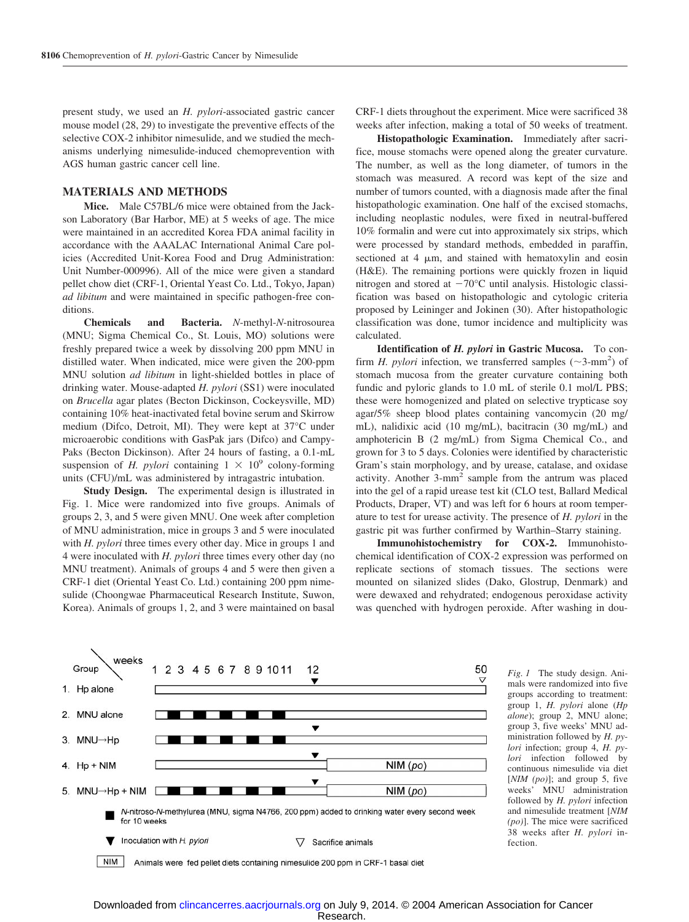present study, we used an *H. pylori*-associated gastric cancer mouse model (28, 29) to investigate the preventive effects of the selective COX-2 inhibitor nimesulide, and we studied the mechanisms underlying nimesulide-induced chemoprevention with AGS human gastric cancer cell line.

## **MATERIALS AND METHODS**

**Mice.** Male C57BL/6 mice were obtained from the Jackson Laboratory (Bar Harbor, ME) at 5 weeks of age. The mice were maintained in an accredited Korea FDA animal facility in accordance with the AAALAC International Animal Care policies (Accredited Unit-Korea Food and Drug Administration: Unit Number-000996). All of the mice were given a standard pellet chow diet (CRF-1, Oriental Yeast Co. Ltd., Tokyo, Japan) *ad libitum* and were maintained in specific pathogen-free conditions.

**Chemicals and Bacteria.** *N*-methyl-*N*-nitrosourea (MNU; Sigma Chemical Co., St. Louis, MO) solutions were freshly prepared twice a week by dissolving 200 ppm MNU in distilled water. When indicated, mice were given the 200-ppm MNU solution *ad libitum* in light-shielded bottles in place of drinking water. Mouse-adapted *H. pylori* (SS1) were inoculated on *Brucella* agar plates (Becton Dickinson, Cockeysville, MD) containing 10% heat-inactivated fetal bovine serum and Skirrow medium (Difco, Detroit, MI). They were kept at 37°C under microaerobic conditions with GasPak jars (Difco) and Campy-Paks (Becton Dickinson). After 24 hours of fasting, a 0.1-mL suspension of *H. pylori* containing  $1 \times 10^9$  colony-forming units (CFU)/mL was administered by intragastric intubation.

**Study Design.** The experimental design is illustrated in Fig. 1. Mice were randomized into five groups. Animals of groups 2, 3, and 5 were given MNU. One week after completion of MNU administration, mice in groups 3 and 5 were inoculated with *H. pylori* three times every other day. Mice in groups 1 and 4 were inoculated with *H. pylori* three times every other day (no MNU treatment). Animals of groups 4 and 5 were then given a CRF-1 diet (Oriental Yeast Co. Ltd.) containing 200 ppm nimesulide (Choongwae Pharmaceutical Research Institute, Suwon, Korea). Animals of groups 1, 2, and 3 were maintained on basal CRF-1 diets throughout the experiment. Mice were sacrificed 38 weeks after infection, making a total of 50 weeks of treatment.

**Histopathologic Examination.** Immediately after sacrifice, mouse stomachs were opened along the greater curvature. The number, as well as the long diameter, of tumors in the stomach was measured. A record was kept of the size and number of tumors counted, with a diagnosis made after the final histopathologic examination. One half of the excised stomachs, including neoplastic nodules, were fixed in neutral-buffered 10% formalin and were cut into approximately six strips, which were processed by standard methods, embedded in paraffin, sectioned at  $4 \mu m$ , and stained with hematoxylin and eosin (H&E). The remaining portions were quickly frozen in liquid nitrogen and stored at  $-70^{\circ}$ C until analysis. Histologic classification was based on histopathologic and cytologic criteria proposed by Leininger and Jokinen (30). After histopathologic classification was done, tumor incidence and multiplicity was calculated.

**Identification of** *H. pylori* **in Gastric Mucosa.** To confirm *H. pylori* infection, we transferred samples ( $\sim$ 3-mm<sup>2</sup>) of stomach mucosa from the greater curvature containing both fundic and pyloric glands to 1.0 mL of sterile 0.1 mol/L PBS; these were homogenized and plated on selective trypticase soy agar/5% sheep blood plates containing vancomycin (20 mg/ mL), nalidixic acid (10 mg/mL), bacitracin (30 mg/mL) and amphotericin B (2 mg/mL) from Sigma Chemical Co., and grown for 3 to 5 days. Colonies were identified by characteristic Gram's stain morphology, and by urease, catalase, and oxidase activity. Another  $3$ -mm<sup>2</sup> sample from the antrum was placed into the gel of a rapid urease test kit (CLO test, Ballard Medical Products, Draper, VT) and was left for 6 hours at room temperature to test for urease activity. The presence of *H. pylori* in the gastric pit was further confirmed by Warthin–Starry staining.

**Immunohistochemistry for COX-2.** Immunohistochemical identification of COX-2 expression was performed on replicate sections of stomach tissues. The sections were mounted on silanized slides (Dako, Glostrup, Denmark) and were dewaxed and rehydrated; endogenous peroxidase activity was quenched with hydrogen peroxide. After washing in dou-



*Fig. 1* The study design. Animals were randomized into five groups according to treatment: group 1, *H. pylori* alone (*Hp alone*); group 2, MNU alone; group 3, five weeks' MNU administration followed by *H. pylori* infection; group 4, *H. pylori* infection followed by continuous nimesulide via diet [*NIM (po)*]; and group 5, five weeks' MNU administration followed by *H. pylori* infection and nimesulide treatment [*NIM (po)*]. The mice were sacrificed 38 weeks after *H. pylori* infection.

**NIM** Animals were fed pellet diets containing nimesulide 200 ppm in CRF-1 basal diet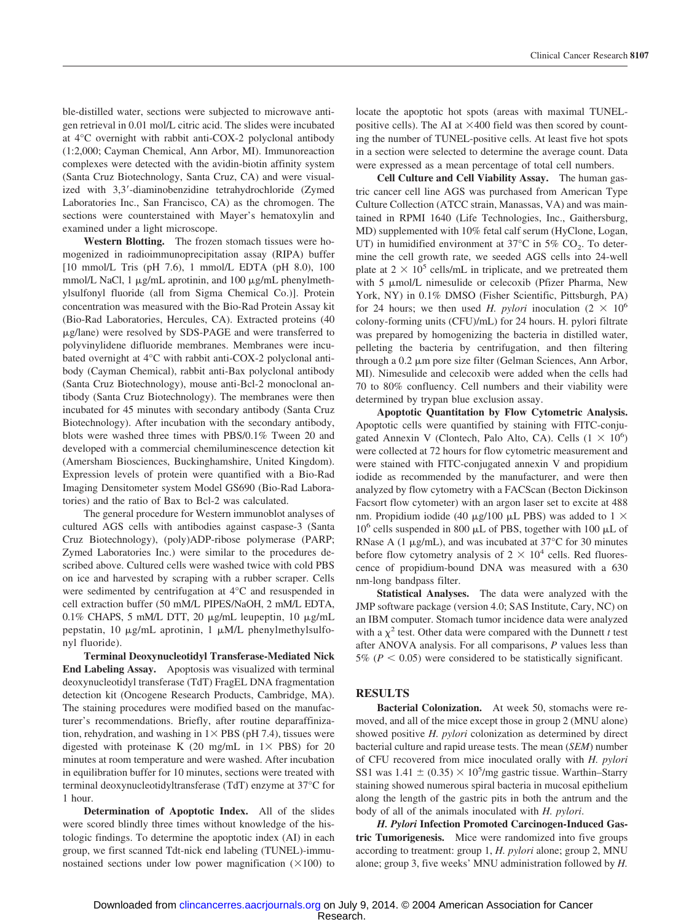ble-distilled water, sections were subjected to microwave antigen retrieval in 0.01 mol/L citric acid. The slides were incubated at 4°C overnight with rabbit anti-COX-2 polyclonal antibody (1:2,000; Cayman Chemical, Ann Arbor, MI). Immunoreaction complexes were detected with the avidin-biotin affinity system (Santa Cruz Biotechnology, Santa Cruz, CA) and were visualized with 3,3-diaminobenzidine tetrahydrochloride (Zymed Laboratories Inc., San Francisco, CA) as the chromogen. The sections were counterstained with Mayer's hematoxylin and examined under a light microscope.

**Western Blotting.** The frozen stomach tissues were homogenized in radioimmunoprecipitation assay (RIPA) buffer [10 mmol/L Tris (pH 7.6), 1 mmol/L EDTA (pH 8.0), 100 mmol/L NaCl, 1  $\mu$ g/mL aprotinin, and 100  $\mu$ g/mL phenylmethylsulfonyl fluoride (all from Sigma Chemical Co.)]. Protein concentration was measured with the Bio-Rad Protein Assay kit (Bio-Rad Laboratories, Hercules, CA). Extracted proteins (40 -g/lane) were resolved by SDS-PAGE and were transferred to polyvinylidene difluoride membranes. Membranes were incubated overnight at 4°C with rabbit anti-COX-2 polyclonal antibody (Cayman Chemical), rabbit anti-Bax polyclonal antibody (Santa Cruz Biotechnology), mouse anti-Bcl-2 monoclonal antibody (Santa Cruz Biotechnology). The membranes were then incubated for 45 minutes with secondary antibody (Santa Cruz Biotechnology). After incubation with the secondary antibody, blots were washed three times with PBS/0.1% Tween 20 and developed with a commercial chemiluminescence detection kit (Amersham Biosciences, Buckinghamshire, United Kingdom). Expression levels of protein were quantified with a Bio-Rad Imaging Densitometer system Model GS690 (Bio-Rad Laboratories) and the ratio of Bax to Bcl-2 was calculated.

The general procedure for Western immunoblot analyses of cultured AGS cells with antibodies against caspase-3 (Santa Cruz Biotechnology), (poly)ADP-ribose polymerase (PARP; Zymed Laboratories Inc.) were similar to the procedures described above. Cultured cells were washed twice with cold PBS on ice and harvested by scraping with a rubber scraper. Cells were sedimented by centrifugation at 4°C and resuspended in cell extraction buffer (50 mM/L PIPES/NaOH, 2 mM/L EDTA,  $0.1\%$  CHAPS, 5 mM/L DTT, 20  $\mu$ g/mL leupeptin, 10  $\mu$ g/mL pepstatin, 10  $\mu$ g/mL aprotinin, 1  $\mu$ M/L phenylmethylsulfonyl fluoride).

**Terminal Deoxynucleotidyl Transferase-Mediated Nick End Labeling Assay.** Apoptosis was visualized with terminal deoxynucleotidyl transferase (TdT) FragEL DNA fragmentation detection kit (Oncogene Research Products, Cambridge, MA). The staining procedures were modified based on the manufacturer's recommendations. Briefly, after routine deparaffinization, rehydration, and washing in  $1 \times PBS$  (pH 7.4), tissues were digested with proteinase K (20 mg/mL in  $1 \times$  PBS) for 20 minutes at room temperature and were washed. After incubation in equilibration buffer for 10 minutes, sections were treated with terminal deoxynucleotidyltransferase (TdT) enzyme at 37°C for 1 hour.

**Determination of Apoptotic Index.** All of the slides were scored blindly three times without knowledge of the histologic findings. To determine the apoptotic index (AI) in each group, we first scanned Tdt-nick end labeling (TUNEL)-immunostained sections under low power magnification  $(\times 100)$  to locate the apoptotic hot spots (areas with maximal TUNELpositive cells). The AI at  $\times$ 400 field was then scored by counting the number of TUNEL-positive cells. At least five hot spots in a section were selected to determine the average count. Data were expressed as a mean percentage of total cell numbers.

**Cell Culture and Cell Viability Assay.** The human gastric cancer cell line AGS was purchased from American Type Culture Collection (ATCC strain, Manassas, VA) and was maintained in RPMI 1640 (Life Technologies, Inc., Gaithersburg, MD) supplemented with 10% fetal calf serum (HyClone, Logan, UT) in humidified environment at 37 $\degree$ C in 5% CO<sub>2</sub>. To determine the cell growth rate, we seeded AGS cells into 24-well plate at  $2 \times 10^5$  cells/mL in triplicate, and we pretreated them with 5  $\mu$ mol/L nimesulide or celecoxib (Pfizer Pharma, New York, NY) in 0.1% DMSO (Fisher Scientific, Pittsburgh, PA) for 24 hours; we then used *H. pylori* inoculation  $(2 \times 10^6$ colony-forming units (CFU)/mL) for 24 hours. H. pylori filtrate was prepared by homogenizing the bacteria in distilled water, pelleting the bacteria by centrifugation, and then filtering through a 0.2  $\mu$ m pore size filter (Gelman Sciences, Ann Arbor, MI). Nimesulide and celecoxib were added when the cells had 70 to 80% confluency. Cell numbers and their viability were determined by trypan blue exclusion assay.

**Apoptotic Quantitation by Flow Cytometric Analysis.** Apoptotic cells were quantified by staining with FITC-conjugated Annexin V (Clontech, Palo Alto, CA). Cells  $(1 \times 10^6)$ were collected at 72 hours for flow cytometric measurement and were stained with FITC-conjugated annexin V and propidium iodide as recommended by the manufacturer, and were then analyzed by flow cytometry with a FACScan (Becton Dickinson Facsort flow cytometer) with an argon laser set to excite at 488 nm. Propidium iodide (40  $\mu$ g/100  $\mu$ L PBS) was added to 1  $\times$  $10^6$  cells suspended in 800  $\mu$ L of PBS, together with 100  $\mu$ L of RNase A (1  $\mu$ g/mL), and was incubated at 37°C for 30 minutes before flow cytometry analysis of  $2 \times 10^4$  cells. Red fluorescence of propidium-bound DNA was measured with a 630 nm-long bandpass filter.

**Statistical Analyses.** The data were analyzed with the JMP software package (version 4.0; SAS Institute, Cary, NC) on an IBM computer. Stomach tumor incidence data were analyzed with a  $\chi^2$  test. Other data were compared with the Dunnett *t* test after ANOVA analysis. For all comparisons, *P* values less than  $5\%$  ( $P < 0.05$ ) were considered to be statistically significant.

### **RESULTS**

**Bacterial Colonization.** At week 50, stomachs were removed, and all of the mice except those in group 2 (MNU alone) showed positive *H. pylori* colonization as determined by direct bacterial culture and rapid urease tests. The mean (*SEM*) number of CFU recovered from mice inoculated orally with *H. pylori* SS1 was  $1.41 \pm (0.35) \times 10^5$ /mg gastric tissue. Warthin–Starry staining showed numerous spiral bacteria in mucosal epithelium along the length of the gastric pits in both the antrum and the body of all of the animals inoculated with *H. pylori*.

*H. Pylori* **Infection Promoted Carcinogen-Induced Gastric Tumorigenesis.** Mice were randomized into five groups according to treatment: group 1, *H. pylori* alone; group 2, MNU alone; group 3, five weeks' MNU administration followed by *H.*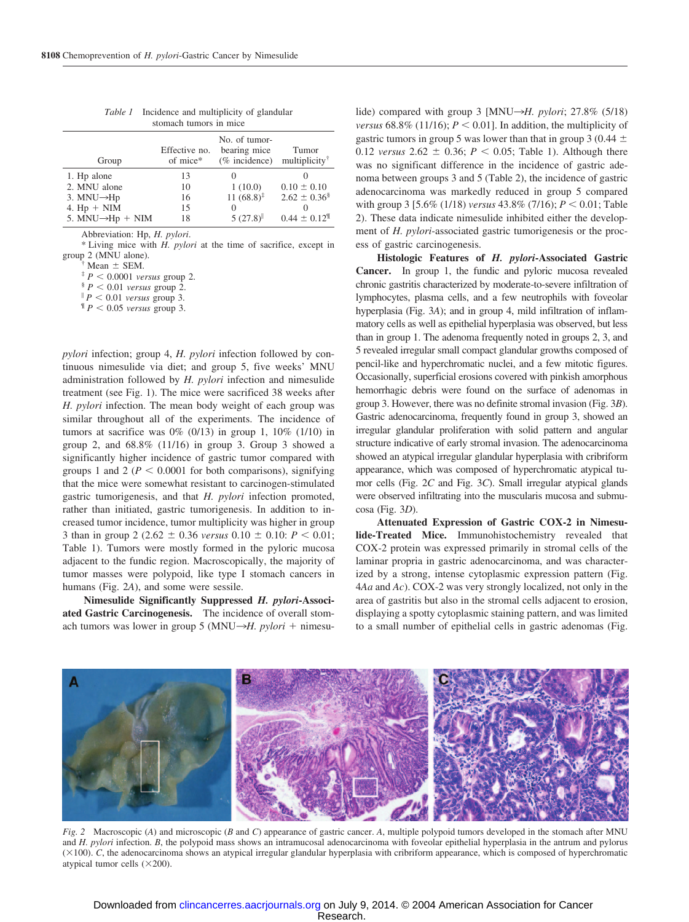| Group                         | Effective no.<br>of mice* | No. of tumor-<br>bearing mice<br>(% incidence) | Tumor<br>multiplicity <sup>†</sup> |  |  |  |
|-------------------------------|---------------------------|------------------------------------------------|------------------------------------|--|--|--|
| 1. Hp alone                   | 13                        |                                                |                                    |  |  |  |
| 2. MNU alone                  | 10                        | 1(10.0)                                        | $0.10 \pm 0.10$                    |  |  |  |
| 3. MNU $\rightarrow$ Hp       | 16                        | $11(68.8)^{\ddagger}$                          | $2.62 \pm 0.36^{\circ}$            |  |  |  |
| 4. $Hp + NIM$                 | 15                        | $\Omega$                                       |                                    |  |  |  |
| 5. MNU $\rightarrow$ Hp + NIM | 18                        | 5(27.8)                                        | $0.44 \pm 0.12$ <sup>I</sup>       |  |  |  |

*Table 1* Incidence and multiplicity of glandular stomach tumors in mice

Abbreviation: Hp, *H. pylori*.

\* Living mice with *H. pylori* at the time of sacrifice, except in

 $j^*$  Mean  $\pm$  SEM.<br>  $j^*$  *P*  $\lt$  0.0001 *versus* group 2.<br>  $j^*$  *P*  $\lt$  0.01 *versus* group 2.

 ${}^{\parallel}P$  < 0.01 *versus* group 3.<br> ${}^{\parallel}P$  < 0.05 *versus* group 3.

*pylori* infection; group 4, *H. pylori* infection followed by continuous nimesulide via diet; and group 5, five weeks' MNU administration followed by *H. pylori* infection and nimesulide treatment (see Fig. 1). The mice were sacrificed 38 weeks after *H. pylori* infection. The mean body weight of each group was similar throughout all of the experiments. The incidence of tumors at sacrifice was  $0\%$  (0/13) in group 1,  $10\%$  (1/10) in group 2, and  $68.8\%$  (11/16) in group 3. Group 3 showed a significantly higher incidence of gastric tumor compared with groups 1 and 2 ( $P < 0.0001$  for both comparisons), signifying that the mice were somewhat resistant to carcinogen-stimulated gastric tumorigenesis, and that *H. pylori* infection promoted, rather than initiated, gastric tumorigenesis. In addition to increased tumor incidence, tumor multiplicity was higher in group 3 than in group 2 (2.62  $\pm$  0.36 *versus* 0.10  $\pm$  0.10: *P* < 0.01; Table 1). Tumors were mostly formed in the pyloric mucosa adjacent to the fundic region. Macroscopically, the majority of tumor masses were polypoid, like type I stomach cancers in humans (Fig. 2*A*), and some were sessile.

**Nimesulide Significantly Suppressed** *H. pylori***-Associated Gastric Carcinogenesis.** The incidence of overall stomach tumors was lower in group 5 (MNU $\rightarrow$ *H. pylori* + nimesu-

lide) compared with group 3 [MNU→*H. pylori*; 27.8% (5/18) *versus* 68.8% (11/16);  $P \le 0.01$ . In addition, the multiplicity of gastric tumors in group 5 was lower than that in group 3 (0.44  $\pm$ 0.12 *versus* 2.62  $\pm$  0.36; *P* < 0.05; Table 1). Although there was no significant difference in the incidence of gastric adenoma between groups 3 and 5 (Table 2), the incidence of gastric adenocarcinoma was markedly reduced in group 5 compared with group 3 [5.6% (1/18) *versus* 43.8% (7/16);  $P < 0.01$ ; Table 2). These data indicate nimesulide inhibited either the development of *H. pylori*-associated gastric tumorigenesis or the process of gastric carcinogenesis.

**Histologic Features of** *H. pylori***-Associated Gastric Cancer.** In group 1, the fundic and pyloric mucosa revealed chronic gastritis characterized by moderate-to-severe infiltration of lymphocytes, plasma cells, and a few neutrophils with foveolar hyperplasia (Fig. 3*A*); and in group 4, mild infiltration of inflammatory cells as well as epithelial hyperplasia was observed, but less than in group 1. The adenoma frequently noted in groups 2, 3, and 5 revealed irregular small compact glandular growths composed of pencil-like and hyperchromatic nuclei, and a few mitotic figures. Occasionally, superficial erosions covered with pinkish amorphous hemorrhagic debris were found on the surface of adenomas in group 3. However, there was no definite stromal invasion (Fig. 3*B*). Gastric adenocarcinoma, frequently found in group 3, showed an irregular glandular proliferation with solid pattern and angular structure indicative of early stromal invasion. The adenocarcinoma showed an atypical irregular glandular hyperplasia with cribriform appearance, which was composed of hyperchromatic atypical tumor cells (Fig. 2*C* and Fig. 3*C*). Small irregular atypical glands were observed infiltrating into the muscularis mucosa and submucosa (Fig. 3*D*).

**Attenuated Expression of Gastric COX-2 in Nimesulide-Treated Mice.** Immunohistochemistry revealed that COX-2 protein was expressed primarily in stromal cells of the laminar propria in gastric adenocarcinoma, and was characterized by a strong, intense cytoplasmic expression pattern (Fig. 4*Aa* and *Ac*). COX-2 was very strongly localized, not only in the area of gastritis but also in the stromal cells adjacent to erosion, displaying a spotty cytoplasmic staining pattern, and was limited to a small number of epithelial cells in gastric adenomas (Fig.



*Fig. 2* Macroscopic (*A*) and microscopic (*B* and *C*) appearance of gastric cancer. *A*, multiple polypoid tumors developed in the stomach after MNU and *H. pylori* infection. *B*, the polypoid mass shows an intramucosal adenocarcinoma with foveolar epithelial hyperplasia in the antrum and pylorus  $(\times 100)$ . *C*, the adenocarcinoma shows an atypical irregular glandular hyperplasia with cribriform appearance, which is composed of hyperchromatic atypical tumor cells  $(\times 200)$ .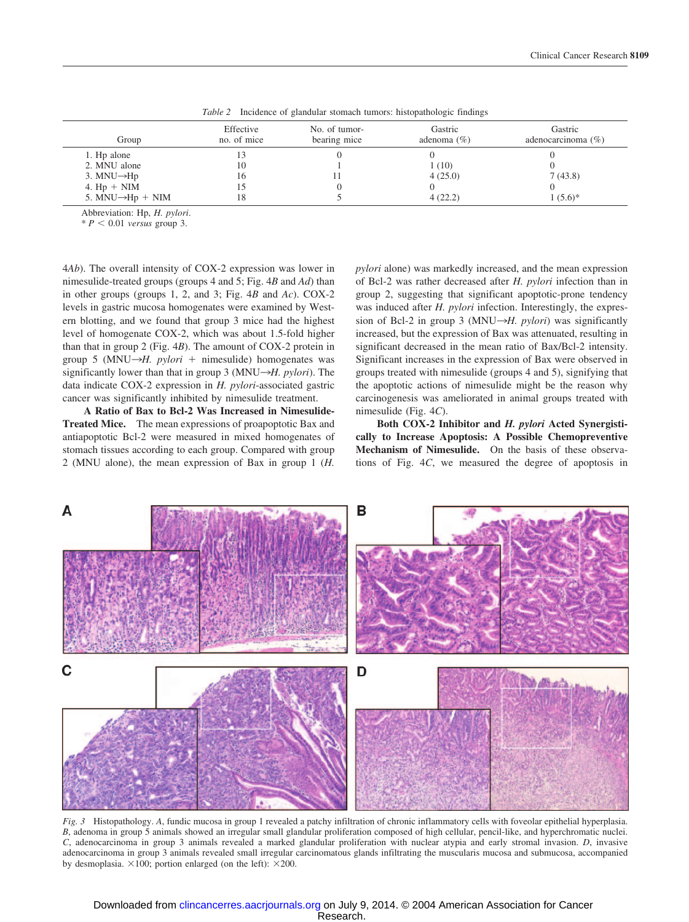| Group                         | Effective<br>no. of mice | No. of tumor-<br>bearing mice | Gastric<br>adenoma $(\% )$ | Gastric<br>adenocarcinoma $(\% )$ |
|-------------------------------|--------------------------|-------------------------------|----------------------------|-----------------------------------|
| 1. Hp alone                   |                          |                               |                            |                                   |
| 2. MNU alone                  | 10                       |                               | 1(10)                      |                                   |
| 3. MNU $\rightarrow$ Hp       | Iб                       |                               | 4(25.0)                    | 7(43.8)                           |
| 4. $Hp + NIM$                 |                          |                               |                            |                                   |
| 5. MNU $\rightarrow$ Hp + NIM | 18                       |                               | 4(22.2)                    | $1(5.6)^{*}$                      |

*Table 2* Incidence of glandular stomach tumors: histopathologic findings

Abbreviation: Hp, *H. pylori*.

 $* P < 0.01$  *versus* group 3.

4*Ab*). The overall intensity of COX-2 expression was lower in nimesulide-treated groups (groups 4 and 5; Fig. 4*B* and *Ad*) than in other groups (groups 1, 2, and 3; Fig. 4*B* and *Ac*). COX-2 levels in gastric mucosa homogenates were examined by Western blotting, and we found that group 3 mice had the highest level of homogenate COX-2, which was about 1.5-fold higher than that in group 2 (Fig. 4*B*). The amount of COX-2 protein in group 5 (MNU $\rightarrow$ *H. pylori* + nimesulide) homogenates was significantly lower than that in group 3 (MNU $\rightarrow$ *H. pylori*). The data indicate COX-2 expression in *H. pylori*-associated gastric cancer was significantly inhibited by nimesulide treatment.

**A Ratio of Bax to Bcl-2 Was Increased in Nimesulide-Treated Mice.** The mean expressions of proapoptotic Bax and antiapoptotic Bcl-2 were measured in mixed homogenates of stomach tissues according to each group. Compared with group 2 (MNU alone), the mean expression of Bax in group 1 (*H.*

*pylori* alone) was markedly increased, and the mean expression of Bcl-2 was rather decreased after *H. pylori* infection than in group 2, suggesting that significant apoptotic-prone tendency was induced after *H. pylori* infection. Interestingly, the expression of Bcl-2 in group 3 (MNU $\rightarrow$ *H. pylori*) was significantly increased, but the expression of Bax was attenuated, resulting in significant decreased in the mean ratio of Bax/Bcl-2 intensity. Significant increases in the expression of Bax were observed in groups treated with nimesulide (groups 4 and 5), signifying that the apoptotic actions of nimesulide might be the reason why carcinogenesis was ameliorated in animal groups treated with nimesulide (Fig. 4*C*).

**Both COX-2 Inhibitor and** *H. pylori* **Acted Synergistically to Increase Apoptosis: A Possible Chemopreventive Mechanism of Nimesulide.** On the basis of these observations of Fig. 4*C*, we measured the degree of apoptosis in



*Fig. 3* Histopathology. *A*, fundic mucosa in group 1 revealed a patchy infiltration of chronic inflammatory cells with foveolar epithelial hyperplasia. *B*, adenoma in group 5 animals showed an irregular small glandular proliferation composed of high cellular, pencil-like, and hyperchromatic nuclei. *C*, adenocarcinoma in group 3 animals revealed a marked glandular proliferation with nuclear atypia and early stromal invasion. *D*, invasive adenocarcinoma in group 3 animals revealed small irregular carcinomatous glands infiltrating the muscularis mucosa and submucosa, accompanied by desmoplasia.  $\times 100$ ; portion enlarged (on the left):  $\times 200$ .

#### Research. Downloaded from [clincancerres.aacrjournals.org o](http://clincancerres.aacrjournals.org/)n July 9, 2014. © 2004 American Association for Cancer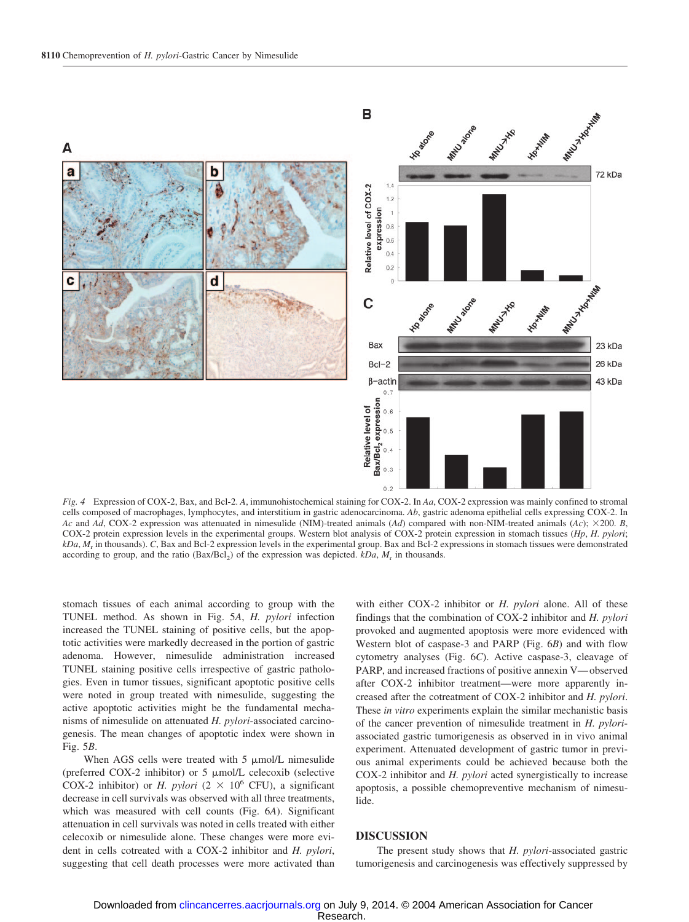

*Fig. 4* Expression of COX-2, Bax, and Bcl-2. *A*, immunohistochemical staining for COX-2. In *Aa*, COX-2 expression was mainly confined to stromal cells composed of macrophages, lymphocytes, and interstitium in gastric adenocarcinoma. *Ab*, gastric adenoma epithelial cells expressing COX-2. In *Ac* and *Ad*, COX-2 expression was attenuated in nimesulide (NIM)-treated animals (*Ad*) compared with non-NIM-treated animals (*Ac*); 200. *B*, COX-2 protein expression levels in the experimental groups. Western blot analysis of COX-2 protein expression in stomach tissues (*Hp*, *H. pylori*; *kDa*, *M*<sup>r</sup> in thousands). *C*, Bax and Bcl-2 expression levels in the experimental group. Bax and Bcl-2 expressions in stomach tissues were demonstrated according to group, and the ratio  $(Bax/BCl<sub>2</sub>)$  of the expression was depicted. *kDa*,  $M<sub>r</sub>$  in thousands.

stomach tissues of each animal according to group with the TUNEL method. As shown in Fig. 5*A*, *H. pylori* infection increased the TUNEL staining of positive cells, but the apoptotic activities were markedly decreased in the portion of gastric adenoma. However, nimesulide administration increased TUNEL staining positive cells irrespective of gastric pathologies. Even in tumor tissues, significant apoptotic positive cells were noted in group treated with nimesulide, suggesting the active apoptotic activities might be the fundamental mechanisms of nimesulide on attenuated *H. pylori*-associated carcinogenesis. The mean changes of apoptotic index were shown in Fig. 5*B*.

When AGS cells were treated with  $5 \mu$ mol/L nimesulide (preferred COX-2 inhibitor) or  $5 \mu$ mol/L celecoxib (selective COX-2 inhibitor) or *H. pylori* ( $2 \times 10^6$  CFU), a significant decrease in cell survivals was observed with all three treatments, which was measured with cell counts (Fig. 6*A*). Significant attenuation in cell survivals was noted in cells treated with either celecoxib or nimesulide alone. These changes were more evident in cells cotreated with a COX-2 inhibitor and *H. pylori*, suggesting that cell death processes were more activated than

with either COX-2 inhibitor or *H. pylori* alone. All of these findings that the combination of COX-2 inhibitor and *H. pylori* provoked and augmented apoptosis were more evidenced with Western blot of caspase-3 and PARP (Fig. 6*B*) and with flow cytometry analyses (Fig. 6*C*). Active caspase-3, cleavage of PARP, and increased fractions of positive annexin V— observed after COX-2 inhibitor treatment—were more apparently increased after the cotreatment of COX-2 inhibitor and *H. pylori*. These *in vitro* experiments explain the similar mechanistic basis of the cancer prevention of nimesulide treatment in *H. pylori*associated gastric tumorigenesis as observed in in vivo animal experiment. Attenuated development of gastric tumor in previous animal experiments could be achieved because both the COX-2 inhibitor and *H. pylori* acted synergistically to increase apoptosis, a possible chemopreventive mechanism of nimesulide.

#### **DISCUSSION**

The present study shows that *H. pylori*-associated gastric tumorigenesis and carcinogenesis was effectively suppressed by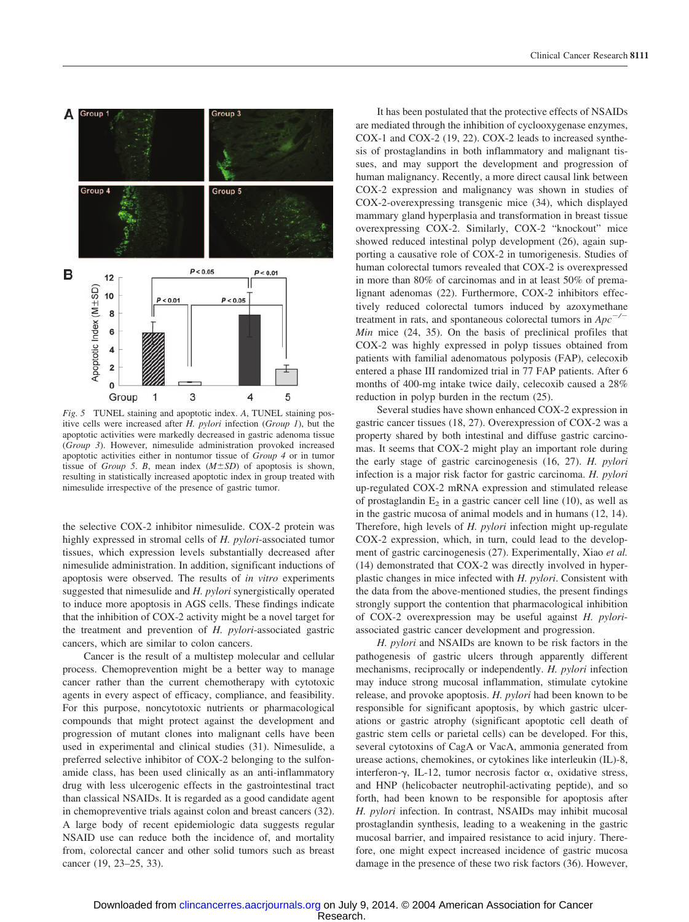

*Fig. 5* TUNEL staining and apoptotic index. *A*, TUNEL staining positive cells were increased after *H. pylori* infection (*Group 1*), but the apoptotic activities were markedly decreased in gastric adenoma tissue (*Group 3*). However, nimesulide administration provoked increased apoptotic activities either in nontumor tissue of *Group 4* or in tumor tissue of *Group 5*. *B*, mean index  $(M \pm SD)$  of apoptosis is shown, resulting in statistically increased apoptotic index in group treated with nimesulide irrespective of the presence of gastric tumor.

the selective COX-2 inhibitor nimesulide. COX-2 protein was highly expressed in stromal cells of *H. pylori*-associated tumor tissues, which expression levels substantially decreased after nimesulide administration. In addition, significant inductions of apoptosis were observed. The results of *in vitro* experiments suggested that nimesulide and *H. pylori* synergistically operated to induce more apoptosis in AGS cells. These findings indicate that the inhibition of COX-2 activity might be a novel target for the treatment and prevention of *H. pylori*-associated gastric cancers, which are similar to colon cancers.

Cancer is the result of a multistep molecular and cellular process. Chemoprevention might be a better way to manage cancer rather than the current chemotherapy with cytotoxic agents in every aspect of efficacy, compliance, and feasibility. For this purpose, noncytotoxic nutrients or pharmacological compounds that might protect against the development and progression of mutant clones into malignant cells have been used in experimental and clinical studies (31). Nimesulide, a preferred selective inhibitor of COX-2 belonging to the sulfonamide class, has been used clinically as an anti-inflammatory drug with less ulcerogenic effects in the gastrointestinal tract than classical NSAIDs. It is regarded as a good candidate agent in chemopreventive trials against colon and breast cancers (32). A large body of recent epidemiologic data suggests regular NSAID use can reduce both the incidence of, and mortality from, colorectal cancer and other solid tumors such as breast cancer (19, 23–25, 33).

It has been postulated that the protective effects of NSAIDs are mediated through the inhibition of cyclooxygenase enzymes, COX-1 and COX-2 (19, 22). COX-2 leads to increased synthesis of prostaglandins in both inflammatory and malignant tissues, and may support the development and progression of human malignancy. Recently, a more direct causal link between COX-2 expression and malignancy was shown in studies of COX-2-overexpressing transgenic mice (34), which displayed mammary gland hyperplasia and transformation in breast tissue overexpressing COX-2. Similarly, COX-2 "knockout" mice showed reduced intestinal polyp development (26), again supporting a causative role of COX-2 in tumorigenesis. Studies of human colorectal tumors revealed that COX-2 is overexpressed in more than 80% of carcinomas and in at least 50% of premalignant adenomas (22). Furthermore, COX-2 inhibitors effectively reduced colorectal tumors induced by azoxymethane treatment in rats, and spontaneous colorectal tumors in *Apc/ Min* mice (24, 35). On the basis of preclinical profiles that COX-2 was highly expressed in polyp tissues obtained from patients with familial adenomatous polyposis (FAP), celecoxib entered a phase III randomized trial in 77 FAP patients. After 6 months of 400-mg intake twice daily, celecoxib caused a 28% reduction in polyp burden in the rectum (25).

Several studies have shown enhanced COX-2 expression in gastric cancer tissues (18, 27). Overexpression of COX-2 was a property shared by both intestinal and diffuse gastric carcinomas. It seems that COX-2 might play an important role during the early stage of gastric carcinogenesis (16, 27). *H. pylori* infection is a major risk factor for gastric carcinoma. *H. pylori* up-regulated COX-2 mRNA expression and stimulated release of prostaglandin  $E<sub>2</sub>$  in a gastric cancer cell line (10), as well as in the gastric mucosa of animal models and in humans (12, 14). Therefore, high levels of *H. pylori* infection might up-regulate COX-2 expression, which, in turn, could lead to the development of gastric carcinogenesis (27). Experimentally, Xiao *et al.* (14) demonstrated that COX-2 was directly involved in hyperplastic changes in mice infected with *H. pylori*. Consistent with the data from the above-mentioned studies, the present findings strongly support the contention that pharmacological inhibition of COX-2 overexpression may be useful against *H. pylori*associated gastric cancer development and progression.

*H. pylori* and NSAIDs are known to be risk factors in the pathogenesis of gastric ulcers through apparently different mechanisms, reciprocally or independently. *H. pylori* infection may induce strong mucosal inflammation, stimulate cytokine release, and provoke apoptosis. *H. pylori* had been known to be responsible for significant apoptosis, by which gastric ulcerations or gastric atrophy (significant apoptotic cell death of gastric stem cells or parietal cells) can be developed. For this, several cytotoxins of CagA or VacA, ammonia generated from urease actions, chemokines, or cytokines like interleukin (IL)-8, interferon- $\gamma$ , IL-12, tumor necrosis factor  $\alpha$ , oxidative stress, and HNP (helicobacter neutrophil-activating peptide), and so forth, had been known to be responsible for apoptosis after *H. pylori* infection. In contrast, NSAIDs may inhibit mucosal prostaglandin synthesis, leading to a weakening in the gastric mucosal barrier, and impaired resistance to acid injury. Therefore, one might expect increased incidence of gastric mucosa damage in the presence of these two risk factors (36). However,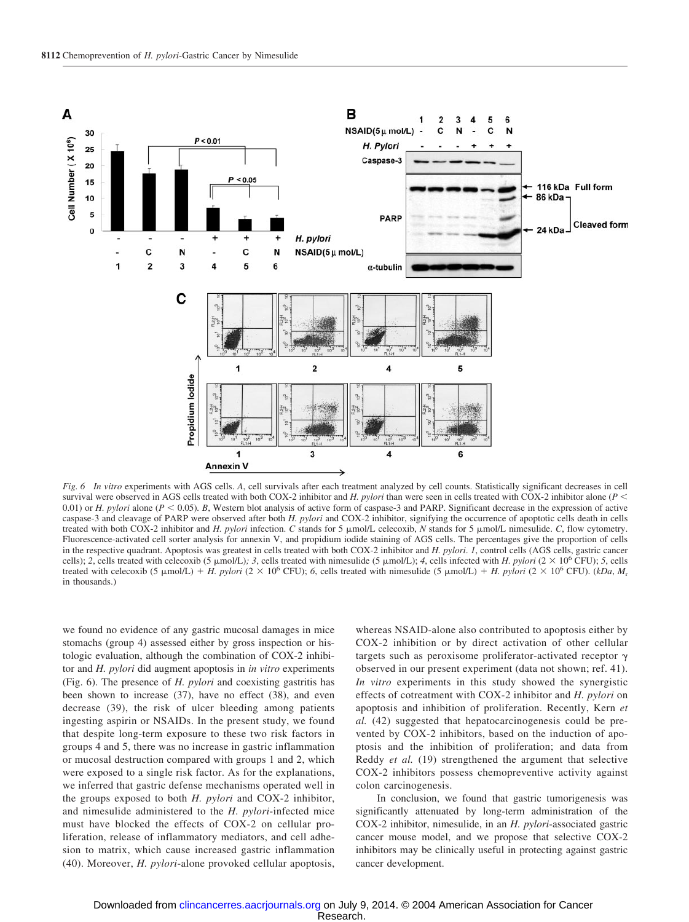

*Fig. 6 In vitro* experiments with AGS cells. *A*, cell survivals after each treatment analyzed by cell counts. Statistically significant decreases in cell survival were observed in AGS cells treated with both COX-2 inhibitor and *H. pylori* than were seen in cells treated with COX-2 inhibitor alone (*P* 0.01) or *H. pylori* alone  $(P < 0.05)$ . B. Western blot analysis of active form of caspase-3 and PARP. Significant decrease in the expression of active caspase-3 and cleavage of PARP were observed after both *H. pylori* and COX-2 inhibitor, signifying the occurrence of apoptotic cells death in cells treated with both COX-2 inhibitor and *H. pylori* infection. *C* stands for 5  $\mu$ mol/L celecoxib, *N* stands for 5  $\mu$ mol/L nimesulide. *C*, flow cytometry. Fluorescence-activated cell sorter analysis for annexin V, and propidium iodide staining of AGS cells. The percentages give the proportion of cells in the respective quadrant. Apoptosis was greatest in cells treated with both COX-2 inhibitor and *H. pylori*. *1*, control cells (AGS cells, gastric cancer cells); 2, cells treated with celecoxib (5  $\mu$ mol/L); 3, cells treated with nimesulide (5  $\mu$ mol/L); 4, cells infected with *H. pylori* (2 × 10<sup>6</sup> CFU); 5, cells treated with celecoxib (5  $\mu$ mol/L) + *H. pylori* (2 × 10<sup>6</sup> CFU); 6, cells treated with nimesulide (5  $\mu$ mol/L) + *H. pylori* (2 × 10<sup>6</sup> CFU). (*kDa*, *M<sub>r</sub>* in thousands.)

we found no evidence of any gastric mucosal damages in mice stomachs (group 4) assessed either by gross inspection or histologic evaluation, although the combination of COX-2 inhibitor and *H. pylori* did augment apoptosis in *in vitro* experiments (Fig. 6). The presence of *H. pylori* and coexisting gastritis has been shown to increase (37), have no effect (38), and even decrease (39), the risk of ulcer bleeding among patients ingesting aspirin or NSAIDs. In the present study, we found that despite long-term exposure to these two risk factors in groups 4 and 5, there was no increase in gastric inflammation or mucosal destruction compared with groups 1 and 2, which were exposed to a single risk factor. As for the explanations, we inferred that gastric defense mechanisms operated well in the groups exposed to both *H. pylori* and COX-2 inhibitor, and nimesulide administered to the *H. pylori*-infected mice must have blocked the effects of COX-2 on cellular proliferation, release of inflammatory mediators, and cell adhesion to matrix, which cause increased gastric inflammation (40). Moreover, *H. pylori*-alone provoked cellular apoptosis,

whereas NSAID-alone also contributed to apoptosis either by COX-2 inhibition or by direct activation of other cellular targets such as peroxisome proliferator-activated receptor observed in our present experiment (data not shown; ref. 41). *In vitro* experiments in this study showed the synergistic effects of cotreatment with COX-2 inhibitor and *H. pylori* on apoptosis and inhibition of proliferation. Recently, Kern *et al.* (42) suggested that hepatocarcinogenesis could be prevented by COX-2 inhibitors, based on the induction of apoptosis and the inhibition of proliferation; and data from Reddy *et al.* (19) strengthened the argument that selective COX-2 inhibitors possess chemopreventive activity against colon carcinogenesis.

In conclusion, we found that gastric tumorigenesis was significantly attenuated by long-term administration of the COX-2 inhibitor, nimesulide, in an *H. pylori*-associated gastric cancer mouse model, and we propose that selective COX-2 inhibitors may be clinically useful in protecting against gastric cancer development.